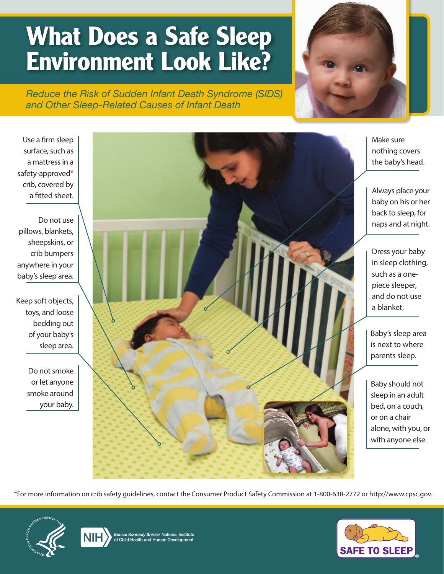## **What Does a Safe Sleep Environment Look Like?**

*Reduce the Risk of Sudden Infant Death Syndrome (SIDS) and Other Sleep-Related Causes of Infant Death*



Use a firm sleep surface, such as a mattress in a safety-approved\* crib, covered by a fitted sheet.

Do not use pillows, blankets, sheepskins, or crib bumpers anywhere in your baby's sleep area.

Keep soft objects, toys, and loose bedding out of your baby's sleep area.

> Do not smoke or let anyone smoke around your baby.



Make sure nothing covers the baby's head.

Always place your baby on his or her back to sleep, for naps and at night.

Dress your baby in sleep clothing, such as a onepiece sleeper, and do not use a blanket.

Baby's sleep area is next to where parents sleep.

Baby should not sleep in an adult bed, on a couch, or on a chair alone, with you, or with anyone else.

\*For more information on crib safety guidelines, contact the Consumer Product Safety Commission at 1-800-638-2772 or [http://www.cpsc.gov.](http://www.cpsc.gov)





Eunice Kennedy Shriver National Institute<br>of Child Health and Human Development